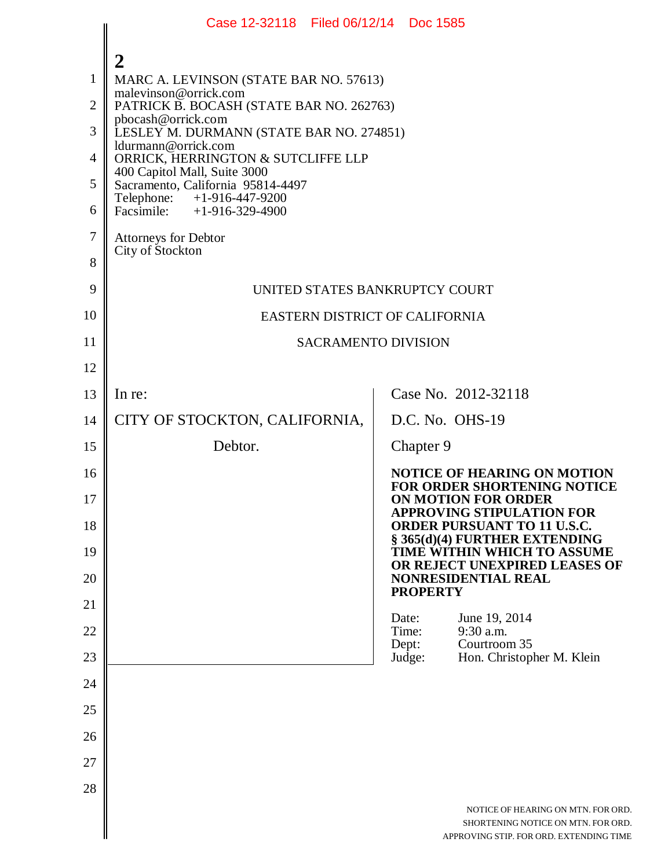|                | Case 12-32118 Filed 06/12/14 Doc 1585                             |                                                                                                                     |  |
|----------------|-------------------------------------------------------------------|---------------------------------------------------------------------------------------------------------------------|--|
|                | 2                                                                 |                                                                                                                     |  |
| 1              | MARC A. LEVINSON (STATE BAR NO. 57613)                            |                                                                                                                     |  |
| $\overline{2}$ | malevinson@orrick.com<br>PATRICK B. BOCASH (STATE BAR NO. 262763) |                                                                                                                     |  |
| 3              | pbocash@orrick.com<br>LESLEY M. DURMANN (STATE BAR NO. 274851)    |                                                                                                                     |  |
| $\overline{4}$ | ldurmann@orrick.com<br>ORRICK, HERRINGTON & SUTCLIFFE LLP         |                                                                                                                     |  |
| 5              | 400 Capitol Mall, Suite 3000<br>Sacramento, California 95814-4497 |                                                                                                                     |  |
| 6              | Telephone: +1-916-447-9200<br>Facsimile: +1-916-329-4900          |                                                                                                                     |  |
| $\overline{7}$ | Attorneys for Debtor                                              |                                                                                                                     |  |
| 8              | City of Stockton                                                  |                                                                                                                     |  |
| 9              | UNITED STATES BANKRUPTCY COURT                                    |                                                                                                                     |  |
| 10             | EASTERN DISTRICT OF CALIFORNIA                                    |                                                                                                                     |  |
| 11             | <b>SACRAMENTO DIVISION</b>                                        |                                                                                                                     |  |
| 12             |                                                                   |                                                                                                                     |  |
| 13             | In re:                                                            | Case No. 2012-32118                                                                                                 |  |
| 14             | CITY OF STOCKTON, CALIFORNIA,                                     | D.C. No. OHS-19                                                                                                     |  |
| 15             | Debtor.                                                           | Chapter 9                                                                                                           |  |
| 16             |                                                                   | <b>NOTICE OF HEARING ON MOTION</b><br><b>FOR ORDER SHORTENING NOTICE</b>                                            |  |
| 17             |                                                                   | ON MOTION FOR ORDER<br><b>APPROVING STIPULATION FOR</b>                                                             |  |
| 18             |                                                                   | <b>ORDER PURSUANT TO 11 U.S.C.</b><br>§ 365(d)(4) FURTHER EXTENDING                                                 |  |
| 19             |                                                                   | TIME WITHIN WHICH TO ASSUME<br>OR REJECT UNEXPIRED LEASES OF                                                        |  |
| 20             |                                                                   | NONRESIDENTIAL REAL<br><b>PROPERTY</b>                                                                              |  |
| 21             |                                                                   | Date:<br>June 19, 2014                                                                                              |  |
| 22             |                                                                   | Time:<br>9:30 a.m.<br>Courtroom 35<br>Dept:                                                                         |  |
| 23             |                                                                   | Hon. Christopher M. Klein<br>Judge:                                                                                 |  |
| 24             |                                                                   |                                                                                                                     |  |
| 25             |                                                                   |                                                                                                                     |  |
| 26             |                                                                   |                                                                                                                     |  |
| 27             |                                                                   |                                                                                                                     |  |
| 28             |                                                                   | NOTICE OF HEARING ON MTN. FOR ORD.<br>SHORTENING NOTICE ON MTN. FOR ORD.<br>APPROVING STIP. FOR ORD. EXTENDING TIME |  |